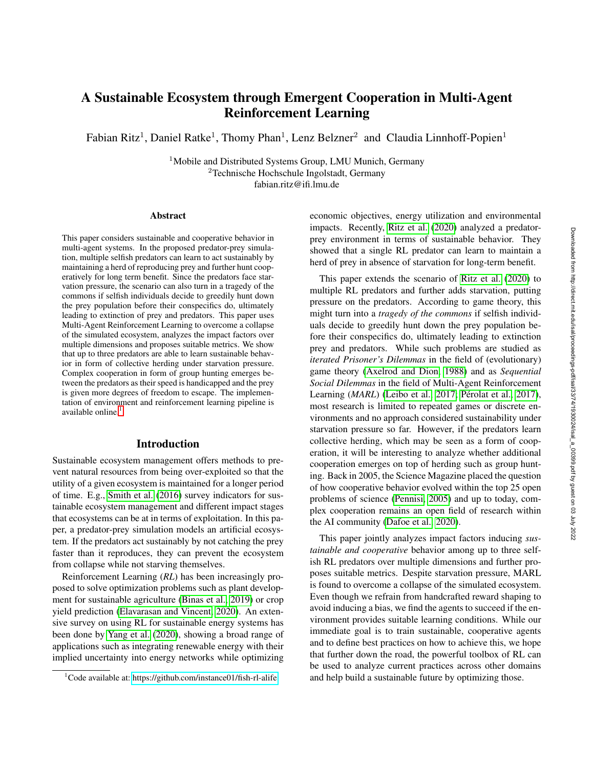# A Sustainable Ecosystem through Emergent Cooperation in Multi-Agent Reinforcement Learning

Fabian Ritz<sup>1</sup>, Daniel Ratke<sup>1</sup>, Thomy Phan<sup>1</sup>, Lenz Belzner<sup>2</sup> and Claudia Linnhoff-Popien<sup>1</sup>

<sup>1</sup>Mobile and Distributed Systems Group, LMU Munich, Germany <sup>2</sup>Technische Hochschule Ingolstadt, Germany fabian.ritz@ifi.lmu.de

#### **Abstract**

This paper considers sustainable and cooperative behavior in multi-agent systems. In the proposed predator-prey simulation, multiple selfish predators can learn to act sustainably by maintaining a herd of reproducing prey and further hunt cooperatively for long term benefit. Since the predators face starvation pressure, the scenario can also turn in a tragedy of the commons if selfish individuals decide to greedily hunt down the prey population before their conspecifics do, ultimately leading to extinction of prey and predators. This paper uses Multi-Agent Reinforcement Learning to overcome a collapse of the simulated ecosystem, analyzes the impact factors over multiple dimensions and proposes suitable metrics. We show that up to three predators are able to learn sustainable behavior in form of collective herding under starvation pressure. Complex cooperation in form of group hunting emerges between the predators as their speed is handicapped and the prey is given more degrees of freedom to escape. The implementation of environment and reinforcement learning pipeline is available online. $<sup>1</sup>$  $<sup>1</sup>$  $<sup>1</sup>$ </sup>

### Introduction

Sustainable ecosystem management offers methods to prevent natural resources from being over-exploited so that the utility of a given ecosystem is maintained for a longer period of time. E.g., [Smith et al.](#page-8-0) [\(2016\)](#page-8-0) survey indicators for sustainable ecosystem management and different impact stages that ecosystems can be at in terms of exploitation. In this paper, a predator-prey simulation models an artificial ecosystem. If the predators act sustainably by not catching the prey faster than it reproduces, they can prevent the ecosystem from collapse while not starving themselves.

Reinforcement Learning (*RL*) has been increasingly proposed to solve optimization problems such as plant development for sustainable agriculture [\(Binas et al., 2019\)](#page-8-1) or crop yield prediction [\(Elavarasan and Vincent, 2020\)](#page-8-2). An extensive survey on using RL for sustainable energy systems has been done by [Yang et al.](#page-8-3) [\(2020\)](#page-8-3), showing a broad range of applications such as integrating renewable energy with their implied uncertainty into energy networks while optimizing

economic objectives, energy utilization and environmental impacts. Recently, [Ritz et al.](#page-8-4) [\(2020\)](#page-8-4) analyzed a predatorprey environment in terms of sustainable behavior. They showed that a single RL predator can learn to maintain a herd of prey in absence of starvation for long-term benefit.

This paper extends the scenario of [Ritz et al.](#page-8-4) [\(2020\)](#page-8-4) to multiple RL predators and further adds starvation, putting pressure on the predators. According to game theory, this might turn into a *tragedy of the commons* if selfish individuals decide to greedily hunt down the prey population before their conspecifics do, ultimately leading to extinction prey and predators. While such problems are studied as *iterated Prisoner's Dilemmas* in the field of (evolutionary) game theory [\(Axelrod and Dion, 1988\)](#page-7-0) and as *Sequential Social Dilemmas* in the field of Multi-Agent Reinforcement Learning (*MARL*) [\(Leibo et al., 2017;](#page-8-5) Pérolat et al., 2017), most research is limited to repeated games or discrete environments and no approach considered sustainability under starvation pressure so far. However, if the predators learn collective herding, which may be seen as a form of cooperation, it will be interesting to analyze whether additional cooperation emerges on top of herding such as group hunting. Back in 2005, the Science Magazine placed the question of how cooperative behavior evolved within the top 25 open problems of science [\(Pennisi, 2005\)](#page-8-7) and up to today, complex cooperation remains an open field of research within the AI community [\(Dafoe et al., 2020\)](#page-8-8).

This paper jointly analyzes impact factors inducing *sustainable and cooperative* behavior among up to three selfish RL predators over multiple dimensions and further proposes suitable metrics. Despite starvation pressure, MARL is found to overcome a collapse of the simulated ecosystem. Even though we refrain from handcrafted reward shaping to avoid inducing a bias, we find the agents to succeed if the environment provides suitable learning conditions. While our immediate goal is to train sustainable, cooperative agents and to define best practices on how to achieve this, we hope that further down the road, the powerful toolbox of RL can be used to analyze current practices across other domains and help build a sustainable future by optimizing those.

<span id="page-0-0"></span><sup>&</sup>lt;sup>1</sup>Code available at:<https://github.com/instance01/fish-rl-alife>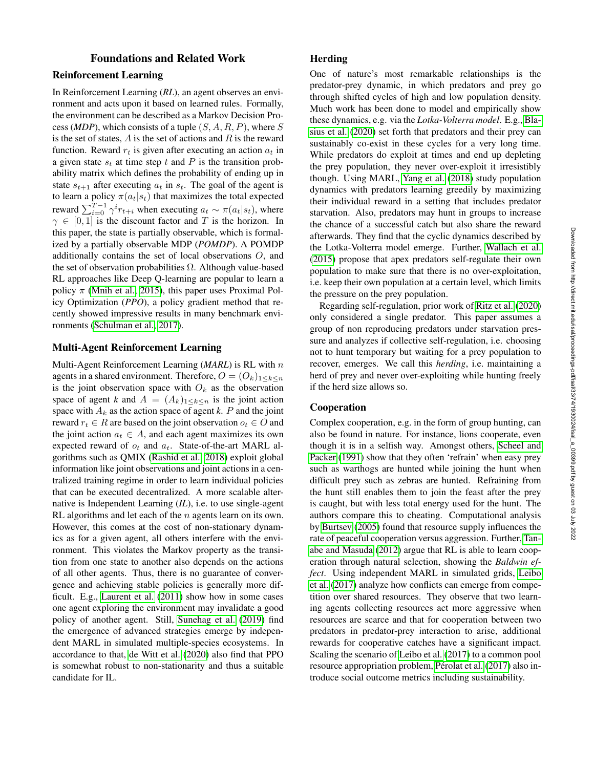# Foundations and Related Work

# Reinforcement Learning

In Reinforcement Learning (*RL*), an agent observes an environment and acts upon it based on learned rules. Formally, the environment can be described as a Markov Decision Process (*MDP*), which consists of a tuple  $(S, A, R, P)$ , where S is the set of states,  $A$  is the set of actions and  $R$  is the reward function. Reward  $r_t$  is given after executing an action  $a_t$  in a given state  $s_t$  at time step t and P is the transition probability matrix which defines the probability of ending up in state  $s_{t+1}$  after executing  $a_t$  in  $s_t$ . The goal of the agent is to learn a policy  $\pi(a_t|s_t)$  that maximizes the total expected reward  $\sum_{i=0}^{T-1} \gamma^i r_{t+i}$  when executing  $a_t \sim \pi(a_t|s_t)$ , where  $\gamma \in [0, 1]$  is the discount factor and T is the horizon. In this paper, the state is partially observable, which is formalized by a partially observable MDP (*POMDP*). A POMDP additionally contains the set of local observations O, and the set of observation probabilities  $\Omega$ . Although value-based RL approaches like Deep Q-learning are popular to learn a policy  $\pi$  [\(Mnih et al., 2015\)](#page-8-9), this paper uses Proximal Policy Optimization (*PPO*), a policy gradient method that recently showed impressive results in many benchmark environments [\(Schulman et al., 2017\)](#page-8-10).

#### Multi-Agent Reinforcement Learning

Multi-Agent Reinforcement Learning (*MARL*) is RL with n agents in a shared environment. Therefore,  $O = (O_k)_{1 \leq k \leq n}$ is the joint observation space with  $O_k$  as the observation space of agent *k* and  $A = (A_k)_{1 \leq k \leq n}$  is the joint action space with  $A_k$  as the action space of agent  $k$ .  $P$  and the joint reward  $r_t \in R$  are based on the joint observation  $o_t \in O$  and the joint action  $a_t \in A$ , and each agent maximizes its own expected reward of  $o_t$  and  $a_t$ . State-of-the-art MARL algorithms such as QMIX [\(Rashid et al., 2018\)](#page-8-11) exploit global information like joint observations and joint actions in a centralized training regime in order to learn individual policies that can be executed decentralized. A more scalable alternative is Independent Learning (*IL*), i.e. to use single-agent RL algorithms and let each of the  $n$  agents learn on its own. However, this comes at the cost of non-stationary dynamics as for a given agent, all others interfere with the environment. This violates the Markov property as the transition from one state to another also depends on the actions of all other agents. Thus, there is no guarantee of convergence and achieving stable policies is generally more difficult. E.g., [Laurent et al.](#page-8-12) [\(2011\)](#page-8-12) show how in some cases one agent exploring the environment may invalidate a good policy of another agent. Still, [Sunehag et al.](#page-8-13) [\(2019\)](#page-8-13) find the emergence of advanced strategies emerge by independent MARL in simulated multiple-species ecosystems. In accordance to that, [de Witt et al.](#page-8-14) [\(2020\)](#page-8-14) also find that PPO is somewhat robust to non-stationarity and thus a suitable candidate for IL.

# **Herding**

One of nature's most remarkable relationships is the predator-prey dynamic, in which predators and prey go through shifted cycles of high and low population density. Much work has been done to model and empirically show these dynamics, e.g. via the *Lotka-Volterra model*. E.g., [Bla](#page-8-15)[sius et al.](#page-8-15) [\(2020\)](#page-8-15) set forth that predators and their prey can sustainably co-exist in these cycles for a very long time. While predators do exploit at times and end up depleting the prey population, they never over-exploit it irresistibly though. Using MARL, [Yang et al.](#page-9-0) [\(2018\)](#page-9-0) study population dynamics with predators learning greedily by maximizing their individual reward in a setting that includes predator starvation. Also, predators may hunt in groups to increase the chance of a successful catch but also share the reward afterwards. They find that the cyclic dynamics described by the Lotka-Volterra model emerge. Further, [Wallach et al.](#page-8-16) [\(2015\)](#page-8-16) propose that apex predators self-regulate their own population to make sure that there is no over-exploitation, i.e. keep their own population at a certain level, which limits the pressure on the prey population.

Regarding self-regulation, prior work of [Ritz et al.](#page-8-4) [\(2020\)](#page-8-4) only considered a single predator. This paper assumes a group of non reproducing predators under starvation pressure and analyzes if collective self-regulation, i.e. choosing not to hunt temporary but waiting for a prey population to recover, emerges. We call this *herding*, i.e. maintaining a herd of prey and never over-exploiting while hunting freely if the herd size allows so.

## Cooperation

Complex cooperation, e.g. in the form of group hunting, can also be found in nature. For instance, lions cooperate, even though it is in a selfish way. Amongst others, [Scheel and](#page-8-17) [Packer](#page-8-17) [\(1991\)](#page-8-17) show that they often 'refrain' when easy prey such as warthogs are hunted while joining the hunt when difficult prey such as zebras are hunted. Refraining from the hunt still enables them to join the feast after the prey is caught, but with less total energy used for the hunt. The authors compare this to cheating. Computational analysis by [Burtsev](#page-8-18) [\(2005\)](#page-8-18) found that resource supply influences the rate of peaceful cooperation versus aggression. Further, [Tan](#page-8-19)[abe and Masuda](#page-8-19) [\(2012\)](#page-8-19) argue that RL is able to learn cooperation through natural selection, showing the *Baldwin effect*. Using independent MARL in simulated grids, [Leibo](#page-8-5) [et al.](#page-8-5) [\(2017\)](#page-8-5) analyze how conflicts can emerge from competition over shared resources. They observe that two learning agents collecting resources act more aggressive when resources are scarce and that for cooperation between two predators in predator-prey interaction to arise, additional rewards for cooperative catches have a significant impact. Scaling the scenario of [Leibo et al.](#page-8-5) [\(2017\)](#page-8-5) to a common pool resource appropriation problem, Pérolat et al. [\(2017\)](#page-8-6) also introduce social outcome metrics including sustainability.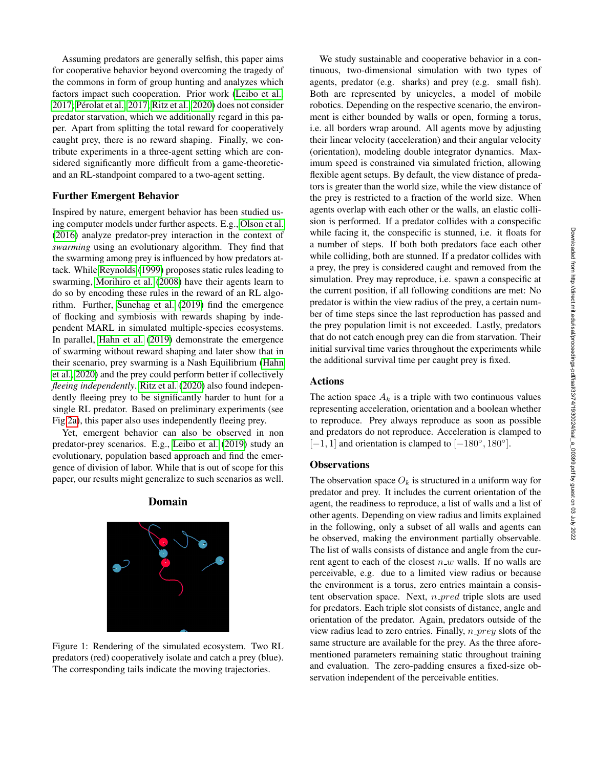Assuming predators are generally selfish, this paper aims for cooperative behavior beyond overcoming the tragedy of the commons in form of group hunting and analyzes which factors impact such cooperation. Prior work [\(Leibo et al.,](#page-8-5) [2017;](#page-8-5) Pérolat et al., 2017; [Ritz et al., 2020\)](#page-8-4) does not consider predator starvation, which we additionally regard in this paper. Apart from splitting the total reward for cooperatively caught prey, there is no reward shaping. Finally, we contribute experiments in a three-agent setting which are considered significantly more difficult from a game-theoreticand an RL-standpoint compared to a two-agent setting.

#### Further Emergent Behavior

Inspired by nature, emergent behavior has been studied using computer models under further aspects. E.g., [Olson et al.](#page-8-20) [\(2016\)](#page-8-20) analyze predator-prey interaction in the context of *swarming* using an evolutionary algorithm. They find that the swarming among prey is influenced by how predators attack. While [Reynolds](#page-8-21) [\(1999\)](#page-8-21) proposes static rules leading to swarming, [Morihiro et al.](#page-8-22) [\(2008\)](#page-8-22) have their agents learn to do so by encoding these rules in the reward of an RL algorithm. Further, [Sunehag et al.](#page-8-13) [\(2019\)](#page-8-13) find the emergence of flocking and symbiosis with rewards shaping by independent MARL in simulated multiple-species ecosystems. In parallel, [Hahn et al.](#page-8-23) [\(2019\)](#page-8-23) demonstrate the emergence of swarming without reward shaping and later show that in their scenario, prey swarming is a Nash Equilibrium [\(Hahn](#page-8-24) [et al., 2020\)](#page-8-24) and the prey could perform better if collectively *fleeing independently*. [Ritz et al.](#page-8-4) [\(2020\)](#page-8-4) also found independently fleeing prey to be significantly harder to hunt for a single RL predator. Based on preliminary experiments (see Fig[.2a\)](#page-3-0), this paper also uses independently fleeing prey.

<span id="page-2-0"></span>Yet, emergent behavior can also be observed in non predator-prey scenarios. E.g., [Leibo et al.](#page-8-25) [\(2019\)](#page-8-25) study an evolutionary, population based approach and find the emergence of division of labor. While that is out of scope for this paper, our results might generalize to such scenarios as well.

## Domain



We study sustainable and cooperative behavior in a continuous, two-dimensional simulation with two types of agents, predator (e.g. sharks) and prey (e.g. small fish). Both are represented by unicycles, a model of mobile robotics. Depending on the respective scenario, the environment is either bounded by walls or open, forming a torus, i.e. all borders wrap around. All agents move by adjusting their linear velocity (acceleration) and their angular velocity (orientation), modeling double integrator dynamics. Maximum speed is constrained via simulated friction, allowing flexible agent setups. By default, the view distance of predators is greater than the world size, while the view distance of the prey is restricted to a fraction of the world size. When agents overlap with each other or the walls, an elastic collision is performed. If a predator collides with a conspecific while facing it, the conspecific is stunned, i.e. it floats for a number of steps. If both both predators face each other while colliding, both are stunned. If a predator collides with a prey, the prey is considered caught and removed from the simulation. Prey may reproduce, i.e. spawn a conspecific at the current position, if all following conditions are met: No predator is within the view radius of the prey, a certain number of time steps since the last reproduction has passed and the prey population limit is not exceeded. Lastly, predators that do not catch enough prey can die from starvation. Their initial survival time varies throughout the experiments while the additional survival time per caught prey is fixed.

# Actions

The action space  $A_k$  is a triple with two continuous values representing acceleration, orientation and a boolean whether to reproduce. Prey always reproduce as soon as possible and predators do not reproduce. Acceleration is clamped to  $[-1, 1]$  and orientation is clamped to  $[-180^\circ, 180^\circ]$ .

#### **Observations**

The observation space  $O_k$  is structured in a uniform way for predator and prey. It includes the current orientation of the agent, the readiness to reproduce, a list of walls and a list of other agents. Depending on view radius and limits explained in the following, only a subset of all walls and agents can be observed, making the environment partially observable. The list of walls consists of distance and angle from the current agent to each of the closest  $n_w$  walls. If no walls are perceivable, e.g. due to a limited view radius or because the environment is a torus, zero entries maintain a consistent observation space. Next,  $n$ -pred triple slots are used for predators. Each triple slot consists of distance, angle and orientation of the predator. Again, predators outside of the view radius lead to zero entries. Finally,  $n\_prey$  slots of the same structure are available for the prey. As the three aforementioned parameters remaining static throughout training and evaluation. The zero-padding ensures a fixed-size observation independent of the perceivable entities.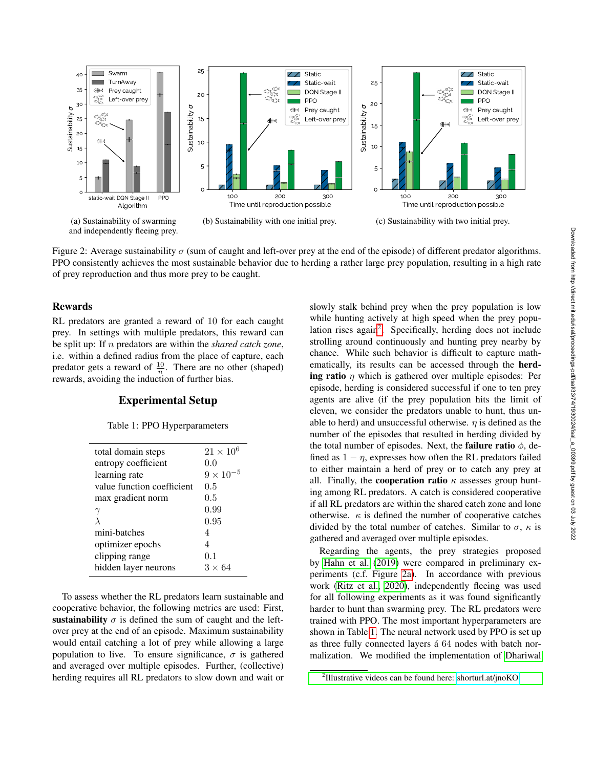<span id="page-3-0"></span>

<span id="page-3-3"></span>Figure 2: Average sustainability  $\sigma$  (sum of caught and left-over prey at the end of the episode) of different predator algorithms. PPO consistently achieves the most sustainable behavior due to herding a rather large prey population, resulting in a high rate of prey reproduction and thus more prey to be caught.

## Rewards

RL predators are granted a reward of 10 for each caught prey. In settings with multiple predators, this reward can be split up: If n predators are within the *shared catch zone*, i.e. within a defined radius from the place of capture, each predator gets a reward of  $\frac{10}{n}$ . There are no other (shaped) rewards, avoiding the induction of further bias.

# Experimental Setup

#### Table 1: PPO Hyperparameters

<span id="page-3-2"></span>

| total domain steps         | $21 \times 10^6$   |
|----------------------------|--------------------|
| entropy coefficient        | 0.0                |
| learning rate              | $9 \times 10^{-5}$ |
| value function coefficient | 0.5                |
| max gradient norm          | 0.5                |
|                            | 0.99               |
| λ                          | 0.95               |
| mini-batches               | 4                  |
| optimizer epochs           | 4                  |
| clipping range             | 0.1                |
| hidden layer neurons       | $3 \times 64$      |
|                            |                    |

To assess whether the RL predators learn sustainable and cooperative behavior, the following metrics are used: First, sustainability  $\sigma$  is defined the sum of caught and the leftover prey at the end of an episode. Maximum sustainability would entail catching a lot of prey while allowing a large population to live. To ensure significance,  $\sigma$  is gathered and averaged over multiple episodes. Further, (collective) herding requires all RL predators to slow down and wait or

<span id="page-3-4"></span>slowly stalk behind prey when the prey population is low while hunting actively at high speed when the prey popu-lation rises again<sup>[2](#page-3-1)</sup>. Specifically, herding does not include strolling around continuously and hunting prey nearby by chance. While such behavior is difficult to capture mathematically, its results can be accessed through the herding ratio  $\eta$  which is gathered over multiple episodes: Per episode, herding is considered successful if one to ten prey agents are alive (if the prey population hits the limit of eleven, we consider the predators unable to hunt, thus unable to herd) and unsuccessful otherwise.  $\eta$  is defined as the number of the episodes that resulted in herding divided by the total number of episodes. Next, the **failure ratio**  $\phi$ , defined as  $1 - \eta$ , expresses how often the RL predators failed to either maintain a herd of prey or to catch any prey at all. Finally, the **cooperation ratio**  $\kappa$  assesses group hunting among RL predators. A catch is considered cooperative if all RL predators are within the shared catch zone and lone otherwise.  $\kappa$  is defined the number of cooperative catches divided by the total number of catches. Similar to  $\sigma$ ,  $\kappa$  is gathered and averaged over multiple episodes.

Regarding the agents, the prey strategies proposed by [Hahn et al.](#page-8-23) [\(2019\)](#page-8-23) were compared in preliminary experiments (c.f. Figure [2a\)](#page-3-0). In accordance with previous work [\(Ritz et al., 2020\)](#page-8-4), independently fleeing was used for all following experiments as it was found significantly harder to hunt than swarming prey. The RL predators were trained with PPO. The most important hyperparameters are shown in Table [1.](#page-3-2) The neural network used by PPO is set up as three fully connected layers á 64 nodes with batch normalization. We modified the implementation of [Dhariwal](#page-8-26)

<span id="page-3-1"></span><sup>&</sup>lt;sup>2</sup>[Illustrative videos can be found here: shorturl.at/jnoKO](#page-8-26)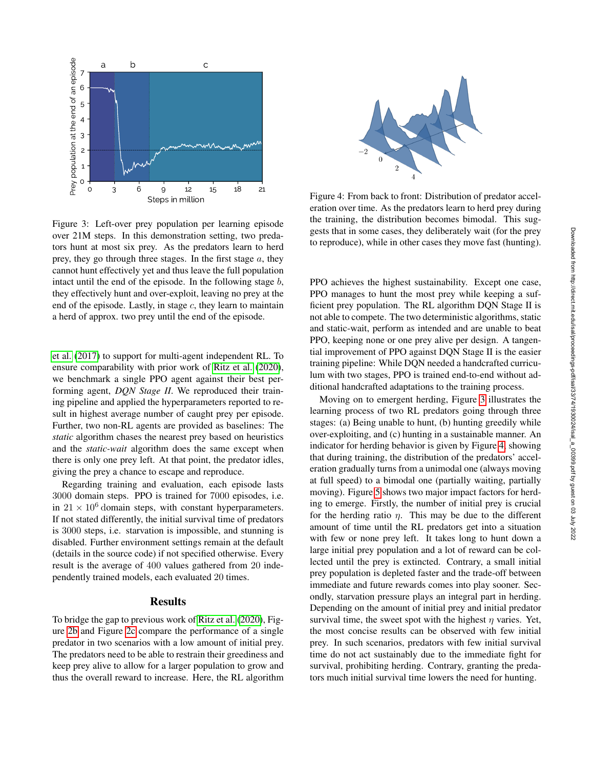<span id="page-4-0"></span>

Figure 3: Left-over prey population per learning episode over 21M steps. In this demonstration setting, two predators hunt at most six prey. As the predators learn to herd prey, they go through three stages. In the first stage  $a$ , they cannot hunt effectively yet and thus leave the full population intact until the end of the episode. In the following stage  $b$ , they effectively hunt and over-exploit, leaving no prey at the end of the episode. Lastly, in stage  $c$ , they learn to maintain a herd of approx. two prey until the end of the episode.

[et al.](#page-8-26) [\(2017\)](#page-8-26) to support for multi-agent independent RL. To ensure comparability with prior work of [Ritz et al.](#page-8-4) [\(2020\)](#page-8-4), we benchmark a single PPO agent against their best performing agent, *DQN Stage II*. We reproduced their training pipeline and applied the hyperparameters reported to result in highest average number of caught prey per episode. Further, two non-RL agents are provided as baselines: The *static* algorithm chases the nearest prey based on heuristics and the *static-wait* algorithm does the same except when there is only one prey left. At that point, the predator idles, giving the prey a chance to escape and reproduce.

Regarding training and evaluation, each episode lasts 3000 domain steps. PPO is trained for 7000 episodes, i.e. in  $21 \times 10^6$  domain steps, with constant hyperparameters. If not stated differently, the initial survival time of predators is 3000 steps, i.e. starvation is impossible, and stunning is disabled. Further environment settings remain at the default (details in the source code) if not specified otherwise. Every result is the average of 400 values gathered from 20 independently trained models, each evaluated 20 times.

# Results

To bridge the gap to previous work of [Ritz et al.](#page-8-4) [\(2020\)](#page-8-4), Figure [2b](#page-3-3) and Figure [2c](#page-3-4) compare the performance of a single predator in two scenarios with a low amount of initial prey. The predators need to be able to restrain their greediness and keep prey alive to allow for a larger population to grow and thus the overall reward to increase. Here, the RL algorithm

<span id="page-4-1"></span>

Figure 4: From back to front: Distribution of predator acceleration over time. As the predators learn to herd prey during the training, the distribution becomes bimodal. This suggests that in some cases, they deliberately wait (for the prey to reproduce), while in other cases they move fast (hunting).

PPO achieves the highest sustainability. Except one case, PPO manages to hunt the most prey while keeping a sufficient prey population. The RL algorithm DQN Stage II is not able to compete. The two deterministic algorithms, static and static-wait, perform as intended and are unable to beat PPO, keeping none or one prey alive per design. A tangential improvement of PPO against DQN Stage II is the easier training pipeline: While DQN needed a handcrafted curriculum with two stages, PPO is trained end-to-end without additional handcrafted adaptations to the training process.

Moving on to emergent herding, Figure [3](#page-4-0) illustrates the learning process of two RL predators going through three stages: (a) Being unable to hunt, (b) hunting greedily while over-exploiting, and (c) hunting in a sustainable manner. An indicator for herding behavior is given by Figure [4,](#page-4-1) showing that during training, the distribution of the predators' acceleration gradually turns from a unimodal one (always moving at full speed) to a bimodal one (partially waiting, partially moving). Figure [5](#page-5-0) shows two major impact factors for herding to emerge. Firstly, the number of initial prey is crucial for the herding ratio  $\eta$ . This may be due to the different amount of time until the RL predators get into a situation with few or none prey left. It takes long to hunt down a large initial prey population and a lot of reward can be collected until the prey is extincted. Contrary, a small initial prey population is depleted faster and the trade-off between immediate and future rewards comes into play sooner. Secondly, starvation pressure plays an integral part in herding. Depending on the amount of initial prey and initial predator survival time, the sweet spot with the highest  $\eta$  varies. Yet, the most concise results can be observed with few initial prey. In such scenarios, predators with few initial survival time do not act sustainably due to the immediate fight for survival, prohibiting herding. Contrary, granting the predators much initial survival time lowers the need for hunting.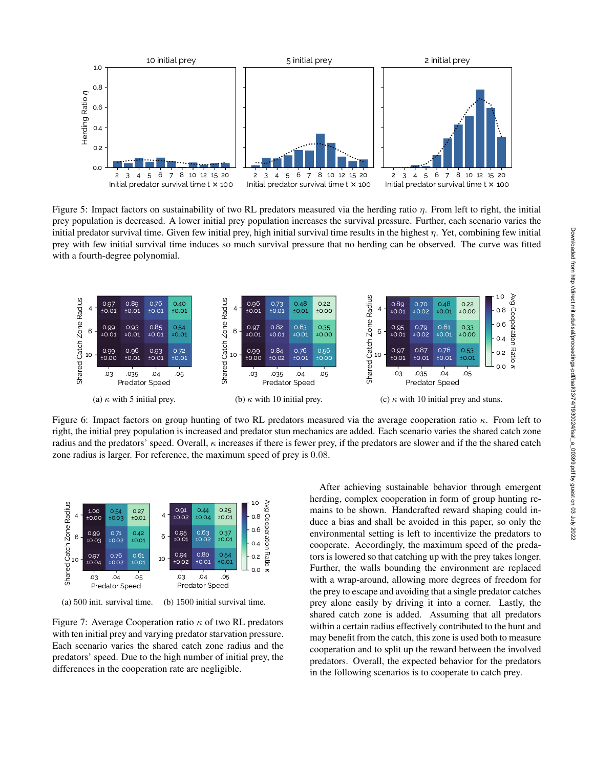<span id="page-5-0"></span>

Figure 5: Impact factors on sustainability of two RL predators measured via the herding ratio η. From left to right, the initial prey population is decreased. A lower initial prey population increases the survival pressure. Further, each scenario varies the initial predator survival time. Given few initial prey, high initial survival time results in the highest  $\eta$ . Yet, combining few initial prey with few initial survival time induces so much survival pressure that no herding can be observed. The curve was fitted with a fourth-degree polynomial.

<span id="page-5-1"></span>

Figure 6: Impact factors on group hunting of two RL predators measured via the average cooperation ratio  $\kappa$ . From left to right, the initial prey population is increased and predator stun mechanics are added. Each scenario varies the shared catch zone radius and the predators' speed. Overall,  $\kappa$  increases if there is fewer prey, if the predators are slower and if the the shared catch zone radius is larger. For reference, the maximum speed of prey is 0.08.

<span id="page-5-4"></span><span id="page-5-3"></span>

(a) 500 init. survival time. (b) 1500 initial survival time.

Figure 7: Average Cooperation ratio  $\kappa$  of two RL predators with ten initial prey and varying predator starvation pressure. Each scenario varies the shared catch zone radius and the predators' speed. Due to the high number of initial prey, the differences in the cooperation rate are negligible.

<span id="page-5-2"></span>After achieving sustainable behavior through emergent herding, complex cooperation in form of group hunting remains to be shown. Handcrafted reward shaping could induce a bias and shall be avoided in this paper, so only the environmental setting is left to incentivize the predators to cooperate. Accordingly, the maximum speed of the predators is lowered so that catching up with the prey takes longer. Further, the walls bounding the environment are replaced with a wrap-around, allowing more degrees of freedom for the prey to escape and avoiding that a single predator catches prey alone easily by driving it into a corner. Lastly, the shared catch zone is added. Assuming that all predators within a certain radius effectively contributed to the hunt and may benefit from the catch, this zone is used both to measure cooperation and to split up the reward between the involved predators. Overall, the expected behavior for the predators in the following scenarios is to cooperate to catch prey.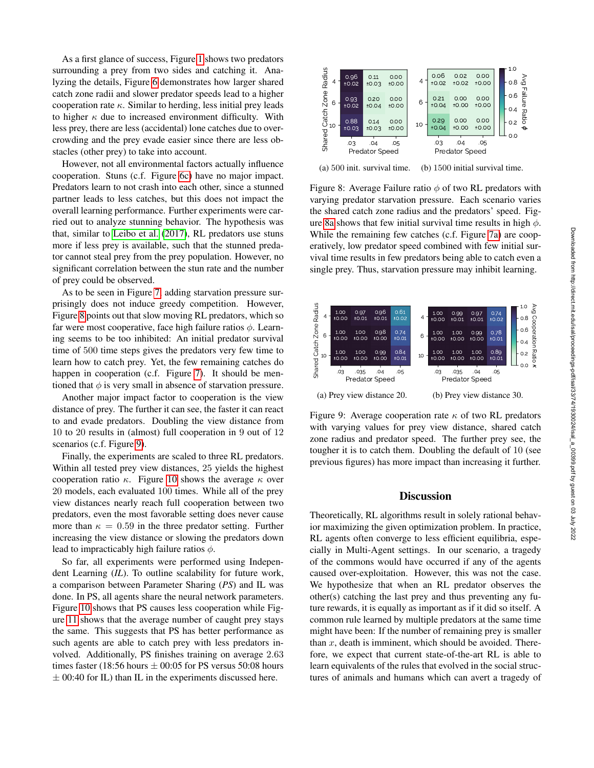As a first glance of success, Figure [1](#page-2-0) shows two predators surrounding a prey from two sides and catching it. Analyzing the details, Figure [6](#page-5-1) demonstrates how larger shared catch zone radii and slower predator speeds lead to a higher cooperation rate  $\kappa$ . Similar to herding, less initial prey leads to higher  $\kappa$  due to increased environment difficulty. With less prey, there are less (accidental) lone catches due to overcrowding and the prey evade easier since there are less obstacles (other prey) to take into account.

However, not all environmental factors actually influence cooperation. Stuns (c.f. Figure [6c\)](#page-5-2) have no major impact. Predators learn to not crash into each other, since a stunned partner leads to less catches, but this does not impact the overall learning performance. Further experiments were carried out to analyze stunning behavior. The hypothesis was that, similar to [Leibo et al.](#page-8-5) [\(2017\)](#page-8-5), RL predators use stuns more if less prey is available, such that the stunned predator cannot steal prey from the prey population. However, no significant correlation between the stun rate and the number of prey could be observed.

As to be seen in Figure [7,](#page-5-3) adding starvation pressure surprisingly does not induce greedy competition. However, Figure [8](#page-6-0) points out that slow moving RL predators, which so far were most cooperative, face high failure ratios  $\phi$ . Learning seems to be too inhibited: An initial predator survival time of 500 time steps gives the predators very few time to learn how to catch prey. Yet, the few remaining catches do happen in cooperation (c.f. Figure [7\)](#page-5-3). It should be mentioned that  $\phi$  is very small in absence of starvation pressure.

Another major impact factor to cooperation is the view distance of prey. The further it can see, the faster it can react to and evade predators. Doubling the view distance from 10 to 20 results in (almost) full cooperation in 9 out of 12 scenarios (c.f. Figure [9\)](#page-6-1).

Finally, the experiments are scaled to three RL predators. Within all tested prey view distances, 25 yields the highest cooperation ratio  $\kappa$ . Figure [10](#page-7-1) shows the average  $\kappa$  over 20 models, each evaluated 100 times. While all of the prey view distances nearly reach full cooperation between two predators, even the most favorable setting does never cause more than  $\kappa = 0.59$  in the three predator setting. Further increasing the view distance or slowing the predators down lead to impracticably high failure ratios  $\phi$ .

So far, all experiments were performed using Independent Learning (*IL*). To outline scalability for future work, a comparison between Parameter Sharing (*PS*) and IL was done. In PS, all agents share the neural network parameters. Figure [10](#page-7-1) shows that PS causes less cooperation while Figure [11](#page-7-2) shows that the average number of caught prey stays the same. This suggests that PS has better performance as such agents are able to catch prey with less predators involved. Additionally, PS finishes training on average 2.63 times faster (18:56 hours  $\pm$  00:05 for PS versus 50:08 hours  $\pm$  00:40 for IL) than IL in the experiments discussed here.

<span id="page-6-2"></span><span id="page-6-0"></span>

(a) 500 init. survival time. (b) 1500 initial survival time.

Figure 8: Average Failure ratio  $\phi$  of two RL predators with varying predator starvation pressure. Each scenario varies the shared catch zone radius and the predators' speed. Fig-ure [8a](#page-6-2) shows that few initial survival time results in high  $\phi$ . While the remaining few catches (c.f. Figure [7a\)](#page-5-4) are cooperatively, low predator speed combined with few initial survival time results in few predators being able to catch even a single prey. Thus, starvation pressure may inhibit learning.

<span id="page-6-1"></span>

Figure 9: Average cooperation rate  $\kappa$  of two RL predators with varying values for prey view distance, shared catch zone radius and predator speed. The further prey see, the tougher it is to catch them. Doubling the default of 10 (see previous figures) has more impact than increasing it further.

## **Discussion**

Theoretically, RL algorithms result in solely rational behavior maximizing the given optimization problem. In practice, RL agents often converge to less efficient equilibria, especially in Multi-Agent settings. In our scenario, a tragedy of the commons would have occurred if any of the agents caused over-exploitation. However, this was not the case. We hypothesize that when an RL predator observes the other(s) catching the last prey and thus preventing any future rewards, it is equally as important as if it did so itself. A common rule learned by multiple predators at the same time might have been: If the number of remaining prey is smaller than  $x$ , death is imminent, which should be avoided. Therefore, we expect that current state-of-the-art RL is able to learn equivalents of the rules that evolved in the social structures of animals and humans which can avert a tragedy of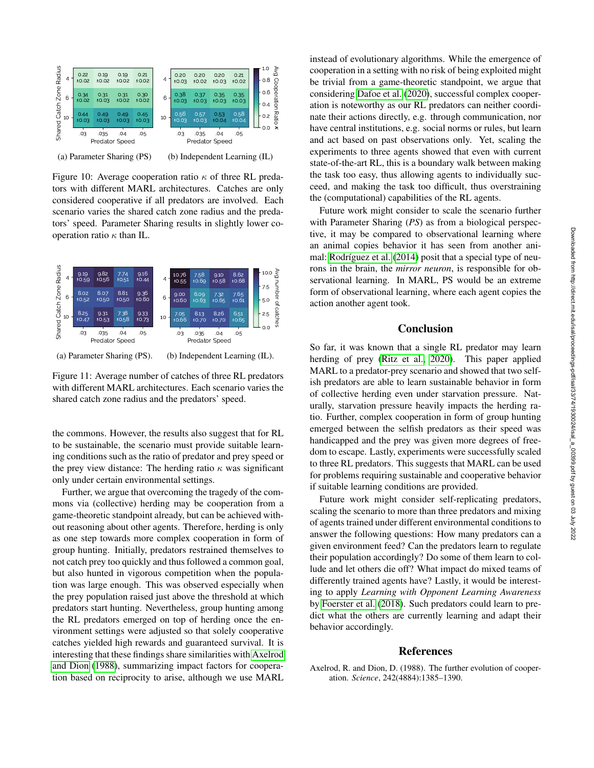<span id="page-7-1"></span>

(a) Parameter Sharing (PS) (b) Independent Learning (IL)

Figure 10: Average cooperation ratio  $\kappa$  of three RL predators with different MARL architectures. Catches are only considered cooperative if all predators are involved. Each scenario varies the shared catch zone radius and the predators' speed. Parameter Sharing results in slightly lower cooperation ratio  $\kappa$  than IL.

<span id="page-7-2"></span>

(a) Parameter Sharing (PS). (b) Independent Learning (IL).

Figure 11: Average number of catches of three RL predators with different MARL architectures. Each scenario varies the shared catch zone radius and the predators' speed.

the commons. However, the results also suggest that for RL to be sustainable, the scenario must provide suitable learning conditions such as the ratio of predator and prey speed or the prey view distance: The herding ratio  $\kappa$  was significant only under certain environmental settings.

Further, we argue that overcoming the tragedy of the commons via (collective) herding may be cooperation from a game-theoretic standpoint already, but can be achieved without reasoning about other agents. Therefore, herding is only as one step towards more complex cooperation in form of group hunting. Initially, predators restrained themselves to not catch prey too quickly and thus followed a common goal, but also hunted in vigorous competition when the population was large enough. This was observed especially when the prey population raised just above the threshold at which predators start hunting. Nevertheless, group hunting among the RL predators emerged on top of herding once the environment settings were adjusted so that solely cooperative catches yielded high rewards and guaranteed survival. It is interesting that these findings share similarities with [Axelrod](#page-7-0) [and Dion](#page-7-0) [\(1988\)](#page-7-0), summarizing impact factors for cooperation based on reciprocity to arise, although we use MARL

instead of evolutionary algorithms. While the emergence of cooperation in a setting with no risk of being exploited might be trivial from a game-theoretic standpoint, we argue that considering [Dafoe et al.](#page-8-8) [\(2020\)](#page-8-8), successful complex cooperation is noteworthy as our RL predators can neither coordinate their actions directly, e.g. through communication, nor have central institutions, e.g. social norms or rules, but learn and act based on past observations only. Yet, scaling the experiments to three agents showed that even with current state-of-the-art RL, this is a boundary walk between making the task too easy, thus allowing agents to individually succeed, and making the task too difficult, thus overstraining the (computational) capabilities of the RL agents.

Future work might consider to scale the scenario further with Parameter Sharing (*PS*) as from a biological perspective, it may be compared to observational learning where an animal copies behavior it has seen from another ani-mal: Rodríguez et al. [\(2014\)](#page-8-27) posit that a special type of neurons in the brain, the *mirror neuron*, is responsible for observational learning. In MARL, PS would be an extreme form of observational learning, where each agent copies the action another agent took.

# Conclusion

So far, it was known that a single RL predator may learn herding of prey [\(Ritz et al., 2020\)](#page-8-4). This paper applied MARL to a predator-prey scenario and showed that two selfish predators are able to learn sustainable behavior in form of collective herding even under starvation pressure. Naturally, starvation pressure heavily impacts the herding ratio. Further, complex cooperation in form of group hunting emerged between the selfish predators as their speed was handicapped and the prey was given more degrees of freedom to escape. Lastly, experiments were successfully scaled to three RL predators. This suggests that MARL can be used for problems requiring sustainable and cooperative behavior if suitable learning conditions are provided.

Future work might consider self-replicating predators, scaling the scenario to more than three predators and mixing of agents trained under different environmental conditions to answer the following questions: How many predators can a given environment feed? Can the predators learn to regulate their population accordingly? Do some of them learn to collude and let others die off? What impact do mixed teams of differently trained agents have? Lastly, it would be interesting to apply *Learning with Opponent Learning Awareness* by [Foerster et al.](#page-8-28) [\(2018\)](#page-8-28). Such predators could learn to predict what the others are currently learning and adapt their behavior accordingly.

## References

<span id="page-7-0"></span>Axelrod, R. and Dion, D. (1988). The further evolution of cooperation. *Science*, 242(4884):1385–1390.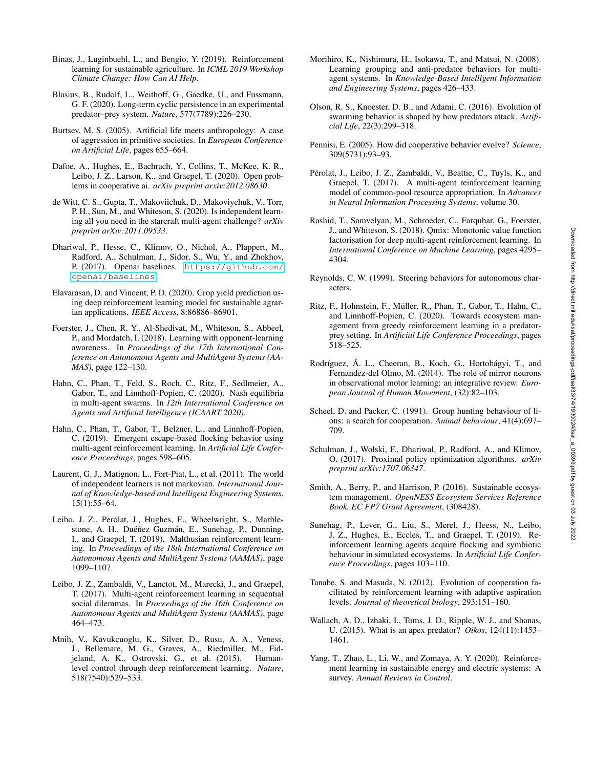- <span id="page-8-1"></span>Binas, J., Luginbuehl, L., and Bengio, Y. (2019). Reinforcement learning for sustainable agriculture. In *ICML 2019 Workshop Climate Change: How Can AI Help*.
- <span id="page-8-15"></span>Blasius, B., Rudolf, L., Weithoff, G., Gaedke, U., and Fussmann, G. F. (2020). Long-term cyclic persistence in an experimental predator–prey system. *Nature*, 577(7789):226–230.
- <span id="page-8-18"></span>Burtsev, M. S. (2005). Artificial life meets anthropology: A case of aggression in primitive societies. In *European Conference on Artificial Life*, pages 655–664.
- <span id="page-8-8"></span>Dafoe, A., Hughes, E., Bachrach, Y., Collins, T., McKee, K. R., Leibo, J. Z., Larson, K., and Graepel, T. (2020). Open problems in cooperative ai. *arXiv preprint arxiv:2012.08630*.
- <span id="page-8-14"></span>de Witt, C. S., Gupta, T., Makoviichuk, D., Makoviychuk, V., Torr, P. H., Sun, M., and Whiteson, S. (2020). Is independent learning all you need in the starcraft multi-agent challenge? *arXiv preprint arXiv:2011.09533*.
- <span id="page-8-26"></span>Dhariwal, P., Hesse, C., Klimov, O., Nichol, A., Plappert, M., Radford, A., Schulman, J., Sidor, S., Wu, Y., and Zhokhov, P. (2017). Openai baselines. [https://github.com/](https://github.com/openai/baselines) [openai/baselines](https://github.com/openai/baselines).
- <span id="page-8-2"></span>Elavarasan, D. and Vincent, P. D. (2020). Crop yield prediction using deep reinforcement learning model for sustainable agrarian applications. *IEEE Access*, 8:86886–86901.
- <span id="page-8-28"></span>Foerster, J., Chen, R. Y., Al-Shedivat, M., Whiteson, S., Abbeel, P., and Mordatch, I. (2018). Learning with opponent-learning awareness. In *Proceedings of the 17th International Conference on Autonomous Agents and MultiAgent Systems (AA-MAS)*, page 122–130.
- <span id="page-8-24"></span>Hahn, C., Phan, T., Feld, S., Roch, C., Ritz, F., Sedlmeier, A., Gabor, T., and Linnhoff-Popien, C. (2020). Nash equilibria in multi-agent swarms. In *12th International Conference on Agents and Artificial Intelligence (ICAART 2020)*.
- <span id="page-8-23"></span>Hahn, C., Phan, T., Gabor, T., Belzner, L., and Linnhoff-Popien, C. (2019). Emergent escape-based flocking behavior using multi-agent reinforcement learning. In *Artificial Life Conference Proceedings*, pages 598–605.
- <span id="page-8-12"></span>Laurent, G. J., Matignon, L., Fort-Piat, L., et al. (2011). The world of independent learners is not markovian. *International Journal of Knowledge-based and Intelligent Engineering Systems*, 15(1):55–64.
- <span id="page-8-25"></span>Leibo, J. Z., Perolat, J., Hughes, E., Wheelwright, S., Marblestone, A. H., Duéñez Guzmán, E., Sunehag, P., Dunning, I., and Graepel, T. (2019). Malthusian reinforcement learning. In *Proceedings of the 18th International Conference on Autonomous Agents and MultiAgent Systems (AAMAS)*, page 1099–1107.
- <span id="page-8-5"></span>Leibo, J. Z., Zambaldi, V., Lanctot, M., Marecki, J., and Graepel, T. (2017). Multi-agent reinforcement learning in sequential social dilemmas. In *Proceedings of the 16th Conference on Autonomous Agents and MultiAgent Systems (AAMAS)*, page 464–473.
- <span id="page-8-9"></span>Mnih, V., Kavukcuoglu, K., Silver, D., Rusu, A. A., Veness, J., Bellemare, M. G., Graves, A., Riedmiller, M., Fidjeland, A. K., Ostrovski, G., et al. (2015). Humanlevel control through deep reinforcement learning. *Nature*, 518(7540):529–533.
- <span id="page-8-22"></span>Morihiro, K., Nishimura, H., Isokawa, T., and Matsui, N. (2008). Learning grouping and anti-predator behaviors for multiagent systems. In *Knowledge-Based Intelligent Information and Engineering Systems*, pages 426–433.
- <span id="page-8-20"></span>Olson, R. S., Knoester, D. B., and Adami, C. (2016). Evolution of swarming behavior is shaped by how predators attack. *Artificial Life*, 22(3):299–318.
- <span id="page-8-7"></span>Pennisi, E. (2005). How did cooperative behavior evolve? *Science*, 309(5731):93–93.
- <span id="page-8-6"></span>Pérolat, J., Leibo, J. Z., Zambaldi, V., Beattie, C., Tuyls, K., and Graepel, T. (2017). A multi-agent reinforcement learning model of common-pool resource appropriation. In *Advances in Neural Information Processing Systems*, volume 30.
- <span id="page-8-11"></span>Rashid, T., Samvelyan, M., Schroeder, C., Farquhar, G., Foerster, J., and Whiteson, S. (2018). Qmix: Monotonic value function factorisation for deep multi-agent reinforcement learning. In *International Conference on Machine Learning*, pages 4295– 4304.
- <span id="page-8-21"></span>Reynolds, C. W. (1999). Steering behaviors for autonomous characters.
- <span id="page-8-4"></span>Ritz, F., Hohnstein, F., Muller, R., Phan, T., Gabor, T., Hahn, C., ¨ and Linnhoff-Popien, C. (2020). Towards ecosystem management from greedy reinforcement learning in a predatorprey setting. In *Artificial Life Conference Proceedings*, pages 518–525.
- <span id="page-8-27"></span>Rodríguez, Á. L., Cheeran, B., Koch, G., Hortobágyi, T., and Fernandez-del Olmo, M. (2014). The role of mirror neurons in observational motor learning: an integrative review. *European Journal of Human Movement*, (32):82–103.
- <span id="page-8-17"></span>Scheel, D. and Packer, C. (1991). Group hunting behaviour of lions: a search for cooperation. *Animal behaviour*, 41(4):697– 709.
- <span id="page-8-10"></span>Schulman, J., Wolski, F., Dhariwal, P., Radford, A., and Klimov, O. (2017). Proximal policy optimization algorithms. *arXiv preprint arXiv:1707.06347*.
- <span id="page-8-0"></span>Smith, A., Berry, P., and Harrison, P. (2016). Sustainable ecosystem management. *OpenNESS Ecosystem Services Reference Book. EC FP7 Grant Agreement*, (308428).
- <span id="page-8-13"></span>Sunehag, P., Lever, G., Liu, S., Merel, J., Heess, N., Leibo, J. Z., Hughes, E., Eccles, T., and Graepel, T. (2019). Reinforcement learning agents acquire flocking and symbiotic behaviour in simulated ecosystems. In *Artificial Life Conference Proceedings*, pages 103–110.
- <span id="page-8-19"></span>Tanabe, S. and Masuda, N. (2012). Evolution of cooperation facilitated by reinforcement learning with adaptive aspiration levels. *Journal of theoretical biology*, 293:151–160.
- <span id="page-8-16"></span>Wallach, A. D., Izhaki, I., Toms, J. D., Ripple, W. J., and Shanas, U. (2015). What is an apex predator? *Oikos*, 124(11):1453– 1461.
- <span id="page-8-3"></span>Yang, T., Zhao, L., Li, W., and Zomaya, A. Y. (2020). Reinforcement learning in sustainable energy and electric systems: A survey. *Annual Reviews in Control*.